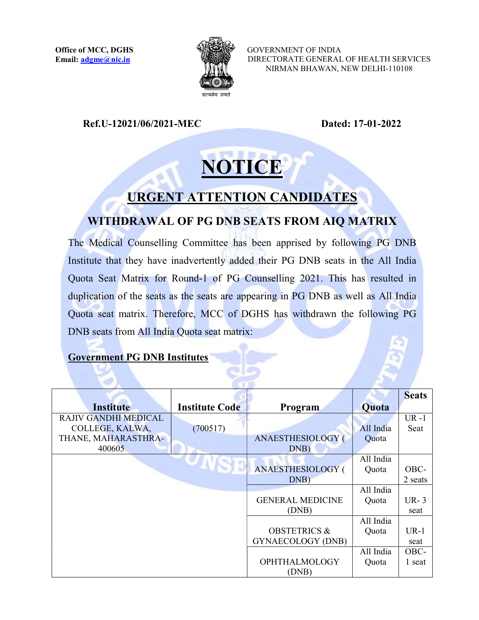

GOVERNMENT OF INDIA DIRECTORATE GENERAL OF HEALTH SERVICES NIRMAN BHAWAN, NEW DELHI-110108

Ref.U-12021/06/2021-MEC Dated: 17-01-2022

## TICE

## URGENT ATTENTION CANDIDATES

## WITHDRAWAL OF PG DNB SEATS FROM AIQ MATRIX

The Medical Counselling Committee has been apprised by following PG DNB Institute that they have inadvertently added their PG DNB seats in the All India Quota Seat Matrix for Round-1 of PG Counselling 2021. This has resulted in duplication of the seats as the seats are appearing in PG DNB as well as All India Quota seat matrix. Therefore, MCC of DGHS has withdrawn the following PG DNB seats from All India Quota seat matrix:

## Government PG DNB Institutes

| <b>Institute</b>            | <b>Institute Code</b> | <b>Program</b>           | Quota     | <b>Seats</b> |
|-----------------------------|-----------------------|--------------------------|-----------|--------------|
|                             |                       |                          |           |              |
| <b>RAJIV GANDHI MEDICAL</b> |                       |                          |           | $UR -1$      |
| COLLEGE, KALWA,             | (700517)              |                          | All India | Seat         |
| THANE, MAHARASTHRA-         |                       | ANAESTHESIOLOGY (        | Quota     |              |
| 400605                      |                       | DNB)                     |           |              |
|                             |                       |                          | All India |              |
|                             |                       | <b>ANAESTHESIOLOGY (</b> | Quota     | OBC-         |
|                             |                       | DNB)                     |           | 2 seats      |
|                             |                       |                          | All India |              |
|                             |                       | <b>GENERAL MEDICINE</b>  | Quota     | $UR-3$       |
|                             |                       | (DNB)                    |           | seat         |
|                             |                       |                          | All India |              |
|                             |                       | <b>OBSTETRICS &amp;</b>  | Quota     | $UR-1$       |
|                             |                       | GYNAECOLOGY (DNB)        |           | seat         |
|                             |                       |                          | All India | OBC-         |
|                             |                       | <b>OPHTHALMOLOGY</b>     | Quota     | 1 seat       |
|                             |                       | (DNB)                    |           |              |